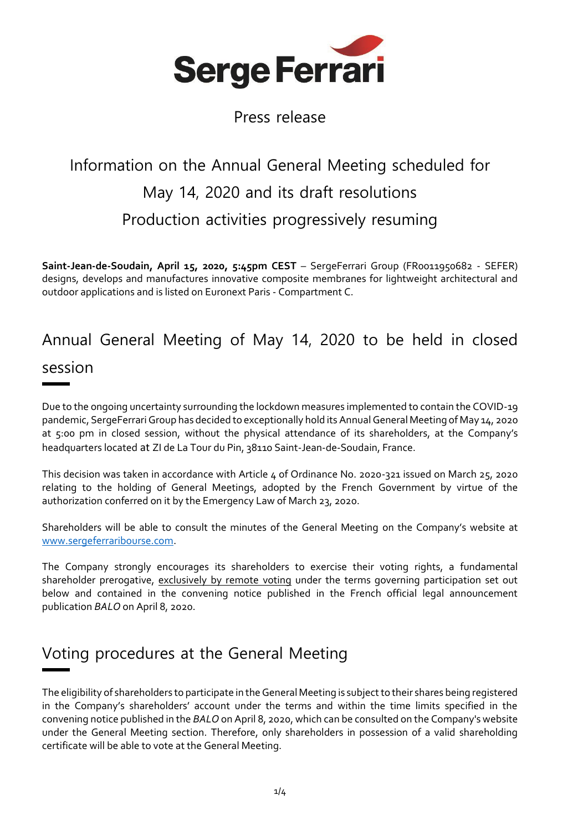

### Press release

# Information on the Annual General Meeting scheduled for May 14, 2020 and its draft resolutions Production activities progressively resuming

**Saint-Jean-de-Soudain, April 15, 2020, 5:45pm CEST** – SergeFerrari Group (FR0011950682 - SEFER) designs, develops and manufactures innovative composite membranes for lightweight architectural and outdoor applications and is listed on Euronext Paris - Compartment C.

## Annual General Meeting of May 14, 2020 to be held in closed session

Due to the ongoing uncertainty surrounding the lockdown measures implemented to contain the COVID-19 pandemic, SergeFerrari Group has decided to exceptionally hold its AnnualGeneral Meeting of May 14, 2020 at 5:00 pm in closed session, without the physical attendance of its shareholders, at the Company's headquarters located at ZI de La Tour du Pin, 38110 Saint-Jean-de-Soudain, France.

This decision was taken in accordance with Article 4 of Ordinance No. 2020-321 issued on March 25, 2020 relating to the holding of General Meetings, adopted by the French Government by virtue of the authorization conferred on it by the Emergency Law of March 23, 2020.

Shareholders will be able to consult the minutes of the General Meeting on the Company's website at [www.sergeferraribourse.com.](http://www.sergeferraribourse.com/)

The Company strongly encourages its shareholders to exercise their voting rights, a fundamental shareholder prerogative, exclusively by remote voting under the terms governing participation set out below and contained in the convening notice published in the French official legal announcement publication *BALO* on April 8, 2020.

## Voting procedures at the General Meeting

The eligibility of shareholders to participate in the General Meeting is subject to their shares being registered in the Company's shareholders' account under the terms and within the time limits specified in the convening notice published in the *BALO*on April 8, 2020, which can be consulted on the Company's website under the General Meeting section. Therefore, only shareholders in possession of a valid shareholding certificate will be able to vote at the General Meeting.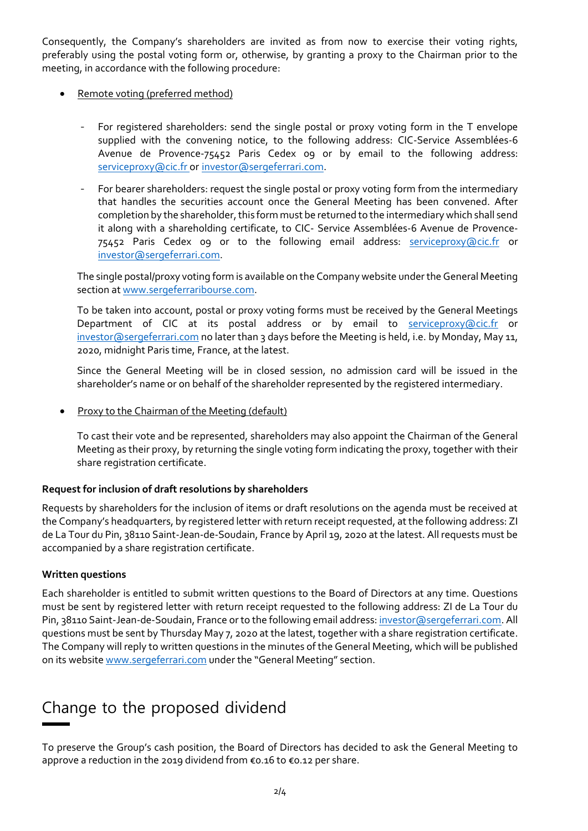Consequently, the Company's shareholders are invited as from now to exercise their voting rights, preferably using the postal voting form or, otherwise, by granting a proxy to the Chairman prior to the meeting, in accordance with the following procedure:

- Remote voting (preferred method)
	- For registered shareholders: send the single postal or proxy voting form in the T envelope supplied with the convening notice, to the following address: CIC-Service Assemblées-6 Avenue de Provence-75452 Paris Cedex 09 or by email to the following address: [serviceproxy@cic.fr](mailto:serviceproxy@cic.fr) or [investor@sergeferrari.com.](mailto:investor@sergeferrari.com)
	- For bearer shareholders: request the single postal or proxy voting form from the intermediary that handles the securities account once the General Meeting has been convened. After completion by the shareholder, this form must be returned to the intermediary which shall send it along with a shareholding certificate, to CIC- Service Assemblées-6 Avenue de Provence-75452 Paris Cedex o9 or to the following email address: **[serviceproxy@cic.fr](mailto:serviceproxy@cic.fr)** or [investor@sergeferrari.com.](mailto:investor@sergeferrari.com)

The single postal/proxy voting form is available on the Company website under the General Meeting section a[t www.sergeferraribourse.com.](http://www.sergeferraribourse.com/)

To be taken into account, postal or proxy voting forms must be received by the General Meetings Department of CIC at its postal address or by email to [serviceproxy@cic.fr](mailto:serviceproxy@cic.fr) or [investor@sergeferrari.com](mailto:investor@sergeferrari.com) no later than 3 days before the Meeting is held, i.e. by Monday, May 11, 2020, midnight Paris time, France, at the latest.

Since the General Meeting will be in closed session, no admission card will be issued in the shareholder's name or on behalf of the shareholder represented by the registered intermediary.

Proxy to the Chairman of the Meeting (default)

To cast their vote and be represented, shareholders may also appoint the Chairman of the General Meeting as their proxy, by returning the single voting form indicating the proxy, together with their share registration certificate.

### **Request for inclusion of draft resolutions by shareholders**

Requests by shareholders for the inclusion of items or draft resolutions on the agenda must be received at the Company's headquarters, by registered letter with return receipt requested, at the following address: ZI de La Tour du Pin, 38110 Saint-Jean-de-Soudain, France by April 19, 2020 at the latest. All requests must be accompanied by a share registration certificate.

#### **Written questions**

Each shareholder is entitled to submit written questions to the Board of Directors at any time. Questions must be sent by registered letter with return receipt requested to the following address: ZI de La Tour du Pin, 38110 Saint-Jean-de-Soudain, France or to the following email address[: investor@sergeferrari.com.](mailto:investor@sergeferrari.com) All questions must be sent by Thursday May 7, 2020 at the latest, together with a share registration certificate. The Company will reply to written questions in the minutes of the General Meeting, which will be published on its websit[e www.sergeferrari.com](http://www.sergeferrari.com/) under the "General Meeting" section.

## Change to the proposed dividend

To preserve the Group's cash position, the Board of Directors has decided to ask the General Meeting to approve a reduction in the 2019 dividend from €0.16 to €0.12 per share.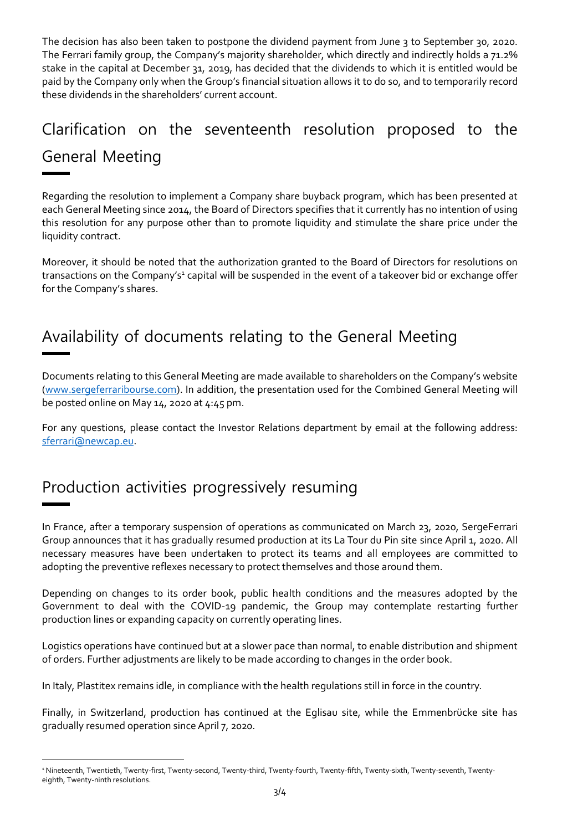The decision has also been taken to postpone the dividend payment from June 3 to September 30, 2020. The Ferrari family group, the Company's majority shareholder, which directly and indirectly holds a 71.2% stake in the capital at December 31, 2019, has decided that the dividends to which it is entitled would be paid by the Company only when the Group's financial situation allows it to do so, and to temporarily record these dividends in the shareholders' current account.

## Clarification on the seventeenth resolution proposed to the General Meeting

Regarding the resolution to implement a Company share buyback program, which has been presented at each General Meeting since 2014, the Board of Directors specifies that it currently has no intention of using this resolution for any purpose other than to promote liquidity and stimulate the share price under the liquidity contract.

Moreover, it should be noted that the authorization granted to the Board of Directors for resolutions on transactions on the Company's<sup>1</sup> capital will be suspended in the event of a takeover bid or exchange offer for the Company's shares.

## Availability of documents relating to the General Meeting

Documents relating to this General Meeting are made available to shareholders on the Company's website [\(www.sergeferraribourse.com\)](http://www.sergeferraribourse.com/). In addition, the presentation used for the Combined General Meeting will be posted online on May 14, 2020 at 4:45 pm.

For any questions, please contact the Investor Relations department by email at the following address: [sferrari@newcap.eu.](mailto:sferrari@newcap.eu)

## Production activities progressively resuming

 $\overline{a}$ 

In France, after a temporary suspension of operations as communicated on March 23, 2020, SergeFerrari Group announces that it has gradually resumed production at its La Tour du Pin site since April 1, 2020. All necessary measures have been undertaken to protect its teams and all employees are committed to adopting the preventive reflexes necessary to protect themselves and those around them.

Depending on changes to its order book, public health conditions and the measures adopted by the Government to deal with the COVID-19 pandemic, the Group may contemplate restarting further production lines or expanding capacity on currently operating lines.

Logistics operations have continued but at a slower pace than normal, to enable distribution and shipment of orders. Further adjustments are likely to be made according to changes in the order book.

In Italy, Plastitex remains idle, in compliance with the health regulations still in force in the country.

Finally, in Switzerland, production has continued at the Eglisau site, while the Emmenbrücke site has gradually resumed operation since April 7, 2020.

<sup>1</sup> Nineteenth, Twentieth, Twenty-first, Twenty-second, Twenty-third, Twenty-fourth, Twenty-fifth, Twenty-sixth, Twenty-seventh, Twentyeighth, Twenty-ninth resolutions.